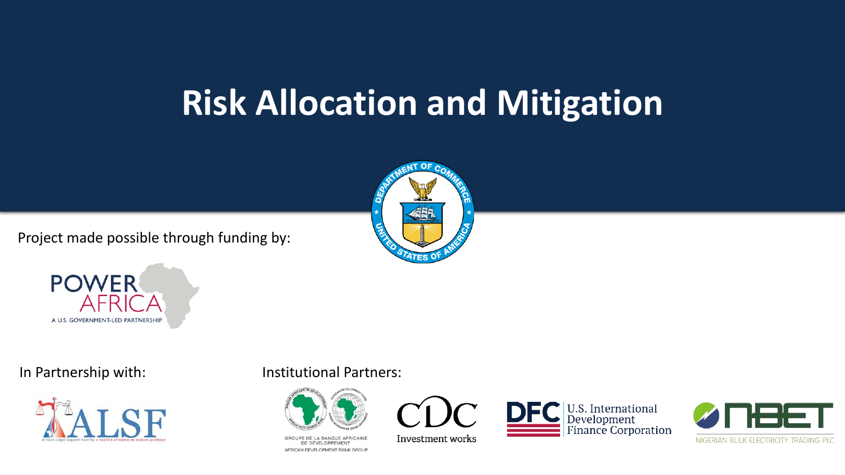### **Risk Allocation and Mitigation**

Project made possible through funding by:







### In Partnership with: Institutional Partners:



GROUPE DE LA BANQUE AFRICAINE DE DÉVELOPPEMENT AFRICAN DEVELOPMENT BANK GROUP



Investment works



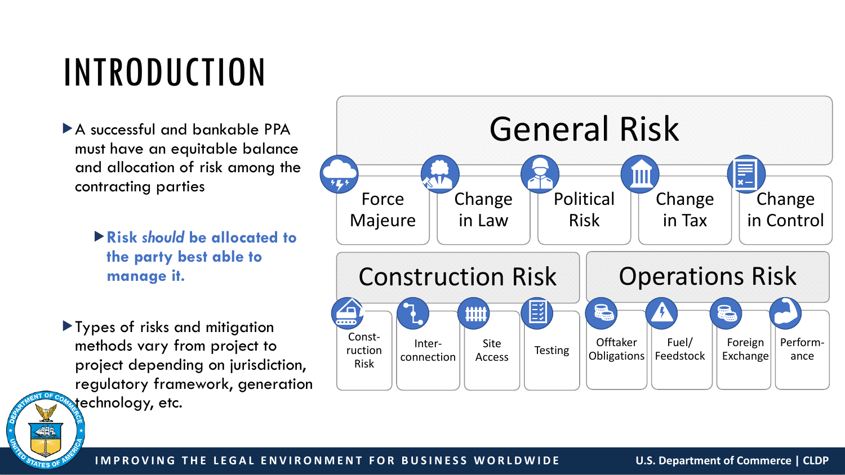# INTRODUCTION

- A successful and bankable PPA must have an equitable balance and allocation of risk among the contracting parties
	- **Risk** *should* **be allocated to the party best able to manage it.**
- Types of risks and mitigation methods vary from project to project depending on jurisdiction, regulatory framework, generation technology, etc.



**IMPROVING THE LEGAL ENVIRONMENT FOR BUSINESS WORLDWIDE U.S. Department of Commerce | CLDP**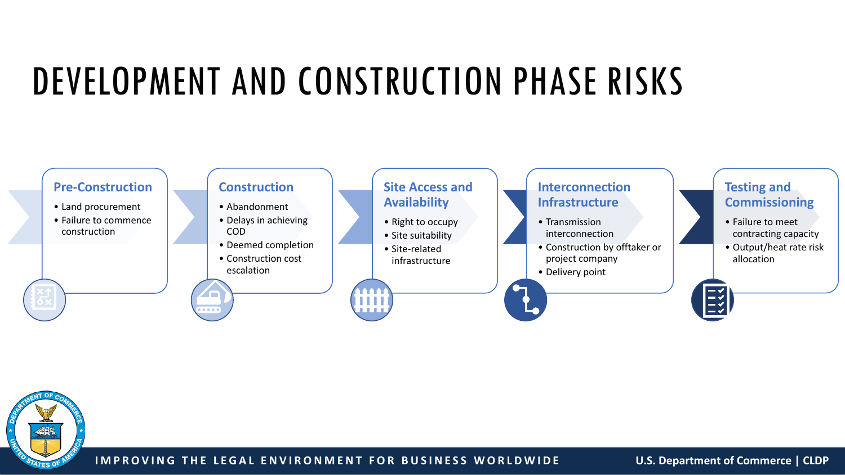### DEVELOPMENT AND CONSTRUCTION PHASE RISKS





**IMPROVING THE LEGAL ENVIRONMENT FOR BUSINESS WORLDWIDE U.S. Department of Commerce | CLDP**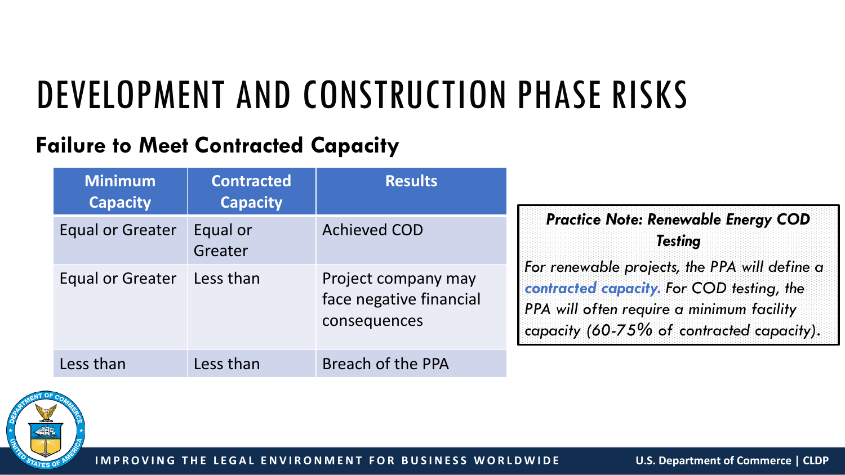### DEVELOPMENT AND CONSTRUCTION PHASE RISKS

### **Failure to Meet Contracted Capacity**

| <b>Minimum</b><br><b>Capacity</b> | <b>Contracted</b><br><b>Capacity</b> | <b>Results</b>                                                 |                                                                                                                                                                                                                                                      |
|-----------------------------------|--------------------------------------|----------------------------------------------------------------|------------------------------------------------------------------------------------------------------------------------------------------------------------------------------------------------------------------------------------------------------|
| <b>Equal or Greater</b>           | Equal or<br>Greater                  | <b>Achieved COD</b>                                            | <b>Practice Note: Renewable Energy COD</b><br><b>Testing</b><br>For renewable projects, the PPA will define a<br>contracted capacity. For COD testing, the<br>PPA will often require a minimum facility<br>capacity (60-75% of contracted capacity). |
| Equal or Greater                  | Less than                            | Project company may<br>face negative financial<br>consequences |                                                                                                                                                                                                                                                      |
| Less than                         | Less than                            | Breach of the PPA                                              |                                                                                                                                                                                                                                                      |



**IMPROVING THE LEGAL ENVIRONMENT FOR BUSINESS WORLDWIDE U.S. Department of Commerce | CLDP**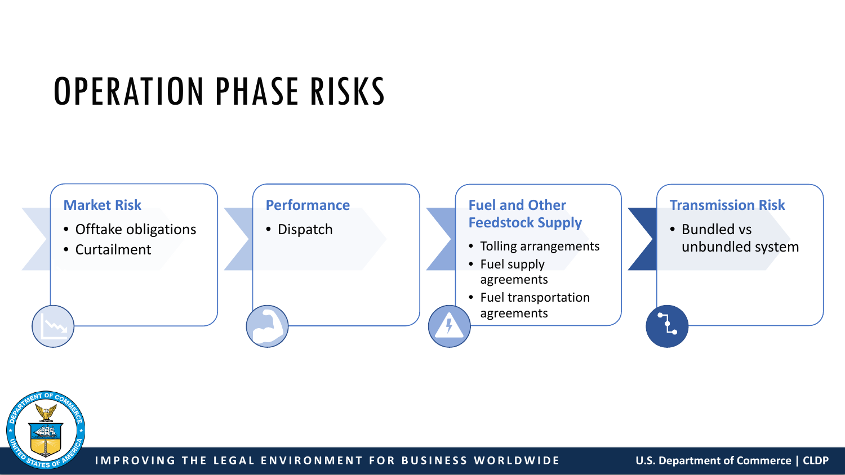# OPERATION PHASE RISKS





**IMPROVING THE LEGAL ENVIRONMENT FOR BUSINESS WORLDWIDE U.S. Department of Commerce | CLDP**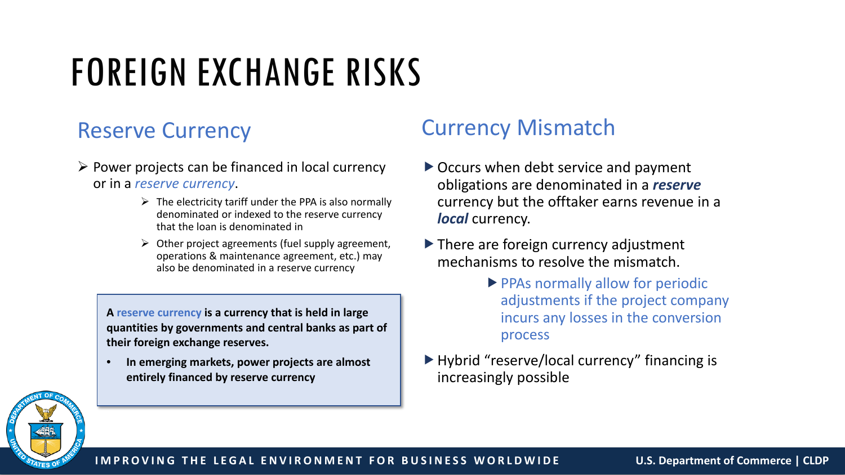### FOREIGN EXCHANGE RISKS

- $\triangleright$  Power projects can be financed in local currency or in a *reserve currency*.
	- $\triangleright$  The electricity tariff under the PPA is also normally denominated or indexed to the reserve currency that the loan is denominated in
	- $\triangleright$  Other project agreements (fuel supply agreement, operations & maintenance agreement, etc.) may also be denominated in a reserve currency

**A reserve currency is a currency that is held in large quantities by governments and central banks as part of their foreign exchange reserves.**

• **In emerging markets, power projects are almost entirely financed by reserve currency**

### Reserve Currency **Currency Currency Mismatch**

- $\triangleright$  Occurs when debt service and payment obligations are denominated in a *reserve* currency but the offtaker earns revenue in a *local* currency.
- $\blacktriangleright$  There are foreign currency adjustment mechanisms to resolve the mismatch.
	- **PPAs normally allow for periodic** adjustments if the project company incurs any losses in the conversion process
- ▶ Hybrid "reserve/local currency" financing is increasingly possible